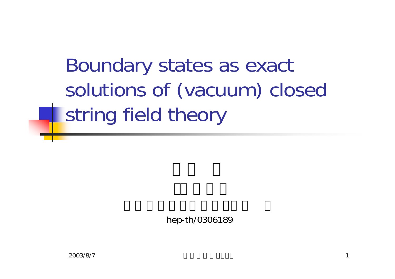Boundary states as exact solutions of (vacuum) closed string field theory

hep-th/0306189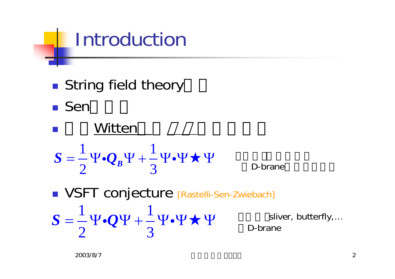# Introduction

**String field theory** 

**■ Sen** 

S = 
$$
\frac{1}{2}\Psi \cdot Q_B \Psi + \frac{1}{3}\Psi \cdot \Psi
$$
 D-brane  
\nVSFT conjecture [Rastelli-Sen-Zwiebach]  
\nS =  $\frac{1}{2}\Psi \cdot Q\Psi + \frac{1}{3}\Psi \cdot \Psi$  V sliver, butterfly,...  
\nD-brane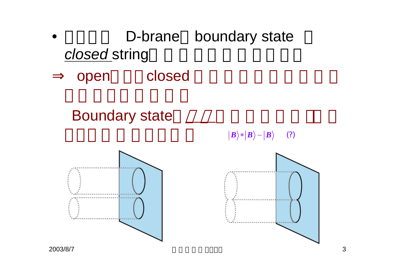

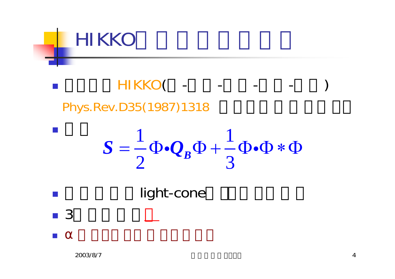

HIKKO( - - - - -Phys.Rev.D35(1987)1318

$$
S = \frac{1}{2} \Phi \cdot Q_B \Phi + \frac{1}{3} \Phi \cdot \Phi * \Phi
$$

light-cone

П

■ 3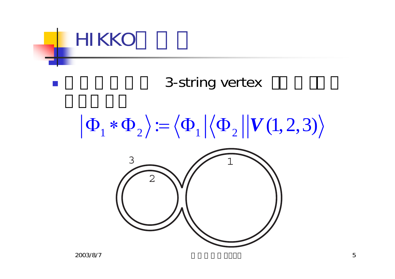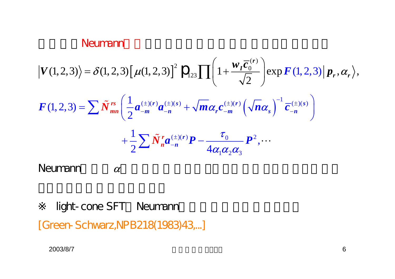#### Neumann

$$
\begin{split} \left| V(1,2,3) \right\rangle &= \delta(1,2,3) \left[ \mu(1,2,3) \right]^2 \, \mathcal{P}_{123} \prod \left( 1 + \frac{w_I \overline{c}_0^{(r)}}{\sqrt{2}} \right) \exp F(1,2,3) \left| \, p_r, \alpha_r \right\rangle, \\ F(1,2,3) &= \sum \tilde{N}_{mn}^{rs} \left( \frac{1}{2} a_{-m}^{(\pm)(r)} a_{-n}^{(\pm)(s)} + \sqrt{m} \alpha_r c_{-m}^{(\pm)(r)} \left( \sqrt{n} \alpha_s \right)^{-1} \overline{c}_{-n}^{(\pm)(s)} \right) \\ &\quad + \frac{1}{2} \sum \tilde{N}_n^r a_{-n}^{(\pm)(r)} \mathbf{P} - \frac{\tau_0}{4 \alpha_1 \alpha_2 \alpha_3} \mathbf{P}^2, \cdots \end{split}
$$

αNeumann

light-cone SFT Neumann

[Green-S chwarz,N PB218(1983)43,...]

2003/8/7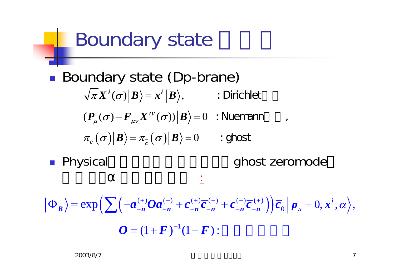## Boundary state

■ Boundary state (Dp-brane)  $\langle \sigma_{c}\left(\bm{\sigma}\right)\bigr|\bm{\mathit{B}}\bigr\rangle\!=\!\pi_{\overline{c}}\left(\bm{\sigma}\right)\bigr|\bm{\mathit{B}}\bigr\rangle\!=\!0.$  $\langle \pi X^i(\sigma) | B \rangle = x^i | B \rangle,$  : Dirichlet  $\langle (P_{\mu}(\sigma) - F_{\mu\nu}X^{\prime\nu}(\sigma))|B \rangle = 0$  $\pi_{c}(\sigma)|B\rangle = \pi_{c}(\sigma)|B\rangle = 0$  : ghost ν  $\mathcal{F}_{\mu}(\boldsymbol{\sigma})-\boldsymbol{F}_{\mu\nu}\boldsymbol{X}^{\top}\left(\boldsymbol{\sigma}\right))|\boldsymbol{\mathcal{B}}\big>=0$ ′ $I^{\prime\prime}(\boldsymbol{\sigma})\rangle|\boldsymbol{B}\rangle=0$  : Nuemann ,

**• Physical** 

ghost zeromode

$$
\left| \Phi_B \right\rangle = \exp \left( \sum \left( -a_{-n}^{(+)} O a_{-n}^{(-)} + c_{-n}^{(+)} \overline{c}_{-n}^{(-)} + c_{-n}^{(-)} \overline{c}_{-n}^{(+)} \right) \right) \overline{c}_0 \left| p_{\mu} = 0, x^i, \alpha \right\rangle,
$$
  

$$
O = (1 + F)^{-1} (1 - F):
$$

.<br>ا  $\overline{\phantom{a}}$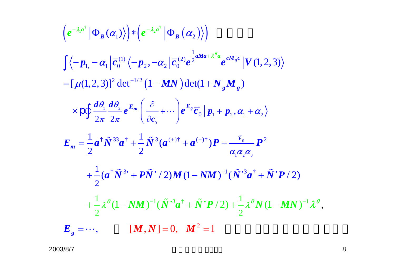$$
(e^{-\lambda_i a^{\dagger}} | \Phi_B(\alpha_1) \rangle) * (e^{-\lambda_2 a^{\dagger}} | \Phi_B(\alpha_2) \rangle)
$$
  
\n
$$
\int \langle -p_{1,} -\alpha_1 | \overline{c}_0^{(1)} \langle -p_2, -\alpha_2 | \overline{c}_0^{(2)} e^{\frac{1}{2} a M a + \lambda^{\theta} a} e^{c M_g \overline{c}} | V(1,2,3) \rangle
$$
  
\n
$$
= [\mu(1,2,3)]^2 \det^{-1/2} (1-MN) \det(1+N_g M_g)
$$
  
\n
$$
\times \rho \oint \frac{d\theta_1}{2\pi} \frac{d\theta_2}{2\pi} e^{E_m} \left( \frac{\partial}{\partial \overline{c}_0} + \cdots \right) e^{E_g} \overline{c}_0 | p_1 + p_2, \alpha_1 + \alpha_2 \rangle
$$
  
\n
$$
E_m = \frac{1}{2} a^{\dagger} \tilde{N}^{33} a^{\dagger} + \frac{1}{2} \tilde{N}^3 (a^{(+) \dagger} + a^{(-) \dagger}) P - \frac{\tau_0}{\alpha_1 \alpha_2 \alpha_3} P^2
$$
  
\n
$$
+ \frac{1}{2} (a^{\dagger} \tilde{N}^{3 \dagger} + P \tilde{N}^{\dagger} / 2) M (1 - NM)^{-1} (\tilde{N}^{3} a^{\dagger} + \tilde{N}^{\dagger} P / 2)
$$
  
\n
$$
+ \frac{1}{2} \lambda^{\theta} (1 - NM)^{-1} (\tilde{N}^{3} a^{\dagger} + \tilde{N}^{\dagger} P / 2) + \frac{1}{2} \lambda^{\theta} N (1 - MN)^{-1} \lambda^{\theta},
$$
  
\n
$$
E_g = \cdots, \qquad [M, N] = 0, \quad M^2 = 1
$$

2003/8/7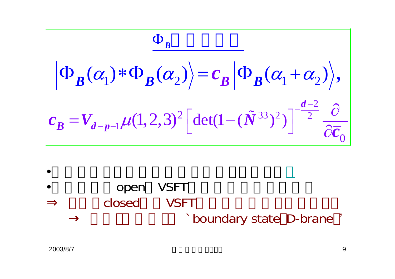$$
\frac{\Phi_B}{\left|\Phi_B(\alpha_1) * \Phi_B(\alpha_2)\right| = c_B \left|\Phi_B(\alpha_1 + \alpha_2)\right|},
$$
  

$$
c_B = V_{d-p-1} \mu(1,2,3)^2 \left[\det(1-(\tilde{N}^{33})^2)\right]^{-\frac{d-2}{2}} \frac{\partial}{\partial \overline{c_0}}
$$

• open VSFT closed VSFT `boundary state D-brane '

•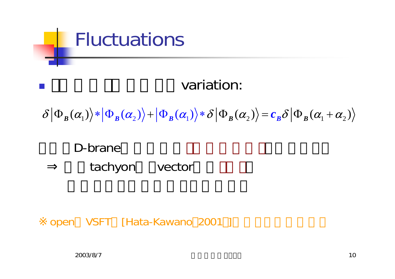

 $\mathbb{R}^3$ 

#### variation:

1 <sup>2</sup> <sup>1</sup> <sup>2</sup> <sup>1</sup> <sup>2</sup> () ( ) ( () ( ) ) *<sup>B</sup> BB BB <sup>B</sup>* δ <sup>Φ</sup> <sup>+</sup> <sup>Φ</sup> =Φ+ <sup>α</sup> δ δα ∗Φ <sup>Φ</sup> <sup>∗</sup> <sup>α</sup> <sup>α</sup> <sup>α</sup> <sup>α</sup> *<sup>c</sup>*

D-branetachyon vector

open VSFT [Hata-Kawano 2001 ]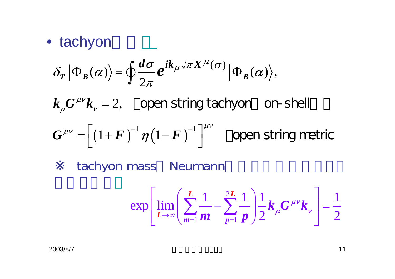#### • tachyon

$$
\delta_T | \Phi_B(\alpha) \rangle = \oint \frac{d\sigma}{2\pi} e^{ik_\mu \sqrt{\pi} X^\mu(\sigma)} | \Phi_B(\alpha) \rangle,
$$

 $k_{\nu}G^{\mu\nu}k_{\nu}=2,$ µν  $\mu$   $\mu$  $= 2$ , open string tachyon on-shell

$$
G^{\mu\nu} = \left[ \left( 1 + F \right)^{-1} \eta \left( 1 - F \right)^{-1} \right]^{\mu\nu}
$$
 open string metric

tachyon mass Neumann

$$
\exp\left[\lim_{L\to\infty}\left(\sum_{m=1}^{L}\frac{1}{m}-\sum_{p=1}^{2L}\frac{1}{p}\right)\frac{1}{2}k_{\mu}G^{\mu\nu}k_{\nu}\right]=\frac{1}{2}
$$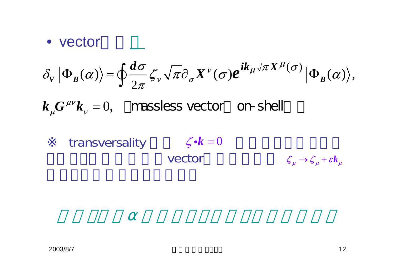#### • vector

$$
\delta_V | \Phi_B(\alpha) \rangle = \oint \frac{d\sigma}{2\pi} \zeta_V \sqrt{\pi} \partial_\sigma X^\nu(\sigma) e^{ik_\mu \sqrt{\pi} X^\mu(\sigma)} | \Phi_B(\alpha) \rangle,
$$

 $k_{\mu}G^{\mu\nu}k_{\nu}=0,$ µν  $\mu$   $\cdots$   $\mu$  $= 0$ , massless vector on-shell

transversality 
$$
\zeta \cdot k = 0
$$
  
vector  $\zeta_{\mu} \rightarrow \zeta_{\mu} + \varepsilon k_{\mu}$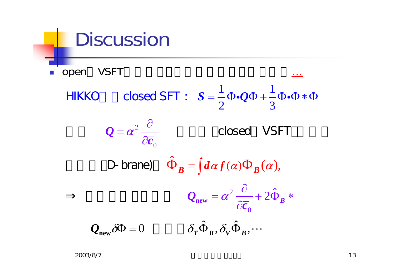#### Discussion ■ open VSFT <u>…</u> 2 02 0 $(\alpha) \Phi_{R}(\alpha),$ ˆ $Q_{\text{new}} = \alpha^2 \frac{Q}{\gamma - 1} + 2\Phi_B$  $\delta \Phi = 0$   $\delta_T \hat{\Phi}_B^{\phantom{\dagger}}, \delta_V^{\phantom{\dagger}} \hat{\Phi}_B^{\phantom{\dagger}}, \cdots$  $1$ ,  $2$ ,  $1$ 2 3ˆ $\Phi_B = \int d\alpha f(\alpha) \Phi_B(\alpha)$  $\boldsymbol{\mathcal{Q}}_\text{new}$  $HIKKO$  closed SFT :  $S = -\Phi \cdot Q\Phi + -\Phi \cdot \Phi * \Phi$ *Q c c* α α  $=\boldsymbol{\alpha}^{2}\,\frac{\partial}{\partial\overline{\boldsymbol{c}}}$  $=\alpha^2\frac{\partial}{\partial x^2}+2\hat{\Phi}_R*$  $\widehat{O}$ D-brane)  $\hat{\Phi}_B = \int d\alpha f(\alpha) \Phi$  $\boldsymbol{0} = \boldsymbol{\alpha}^2$   $\equiv$  closed VSFT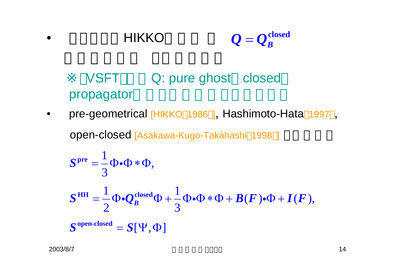$$
\bullet \qquad \qquad \text{HIKKO} \qquad \qquad Q = Q_B^{\text{closed}}
$$

### VSFT Q: pure ghost closed propagator

 $\bullet$ pre-geometrical [HIKKO 1986 ], Hashimoto-Hata 1997,

open-closed [Asakawa-Kugo-Takahashi <sup>1998</sup> ]

$$
Spre = \frac{1}{3} \Phi \cdot \Phi * \Phi,
$$
  
\n
$$
SHH = \frac{1}{2} \Phi \cdot Q_B^{closed} \Phi + \frac{1}{3} \Phi \cdot \Phi * \Phi + B(F) \cdot \Phi + I(F),
$$
  
\n
$$
Sopen-closed = S[\Psi, \Phi]
$$

•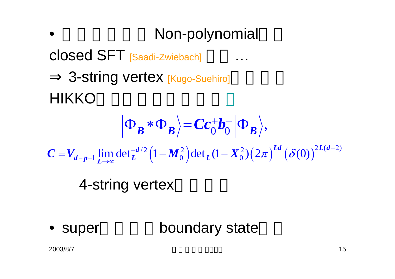• Non-polynomial closed SFT [Saadi-Zwiebach] … 3-string vertex [Kugo-Suehiro] HIKKO4-string vertex  $\lim_{L\to\infty} \det_L^{-d/2} \left( 1 - M_0^2 \right) \det_L (1 - X_0^2) \left( 2\pi \right)^{Ld} \left( \delta(0) \right)^{2L(d-2)}$  $0\ ^{\bullet}0$  $\mathbf{B}$   $\mathbf{B}$   $\mathbf{B}$   $\mathbf{C}$   $\mathbf{C}$   $\mathbf{O}$   $\mathbf{O}$   $\mathbf{B}$   $\mathbf{B}$   $\mathbf{B}$  $\lim_{d-p-1} \lim_{L \to \infty} \det L^{-d/2} \left(1 - M_0^2 \right) \det_L (1 - X_0^2) \left(2\pi\right)^{Ld} \left(\delta(0)\right)^{2L(d)}$  $C = V_{d-n-1}$  lim det<sub>1</sub><sup>-d/2</sup> (1– $M_0^2$ ) det<sub>1</sub> (1– $X_0^2$ )(2 $\pi$ )<sup>-d</sup> ( $\delta(0)$ )<sup>-d(a–</sup>  $\langle \Phi_n * \Phi_n \rangle = Cc_0^+b_0^- \langle \Phi_n |$  $^{-p-1}$   $L\rightarrow \infty$  $= V_{J_{n-1}}$  IIIII QU $_{I_{L}}$   $=$   $\left[1 - I_{L_{\alpha}}\right]$  QU $_{L_{L}}$  ( $1 - I_{L_{\alpha}}$ 

• super boundary state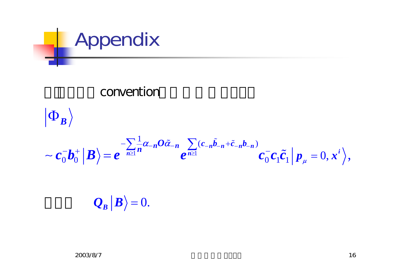

#### convention



 $\mathcal{Q}_{_{\boldsymbol{B}}}|\boldsymbol{B} \rangle$   $=$   $0.$ =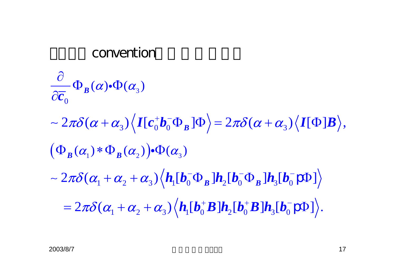#### convention

$$
\frac{\partial}{\partial \overline{c}_0} \Phi_B(\alpha) \cdot \Phi(\alpha_3)
$$
\n
$$
\sim 2\pi \delta(\alpha + \alpha_3) \Big\langle I[c_0^+ b_0^- \Phi_B] \Phi \Big\rangle = 2\pi \delta(\alpha + \alpha_3) \Big\langle I[\Phi] B \Big\rangle,
$$
\n
$$
(\Phi_B(\alpha_1) * \Phi_B(\alpha_2)) \cdot \Phi(\alpha_3)
$$
\n
$$
\sim 2\pi \delta(\alpha_1 + \alpha_2 + \alpha_3) \Big\langle h_1[b_0^- \Phi_B] h_2[b_0^- \Phi_B] h_3[b_0^- \rho \Phi] \Big\rangle
$$
\n
$$
= 2\pi \delta(\alpha_1 + \alpha_2 + \alpha_3) \Big\langle h_1[b_0^+ B] h_2[b_0^+ B] h_3[b_0^- \rho \Phi] \Big\rangle.
$$